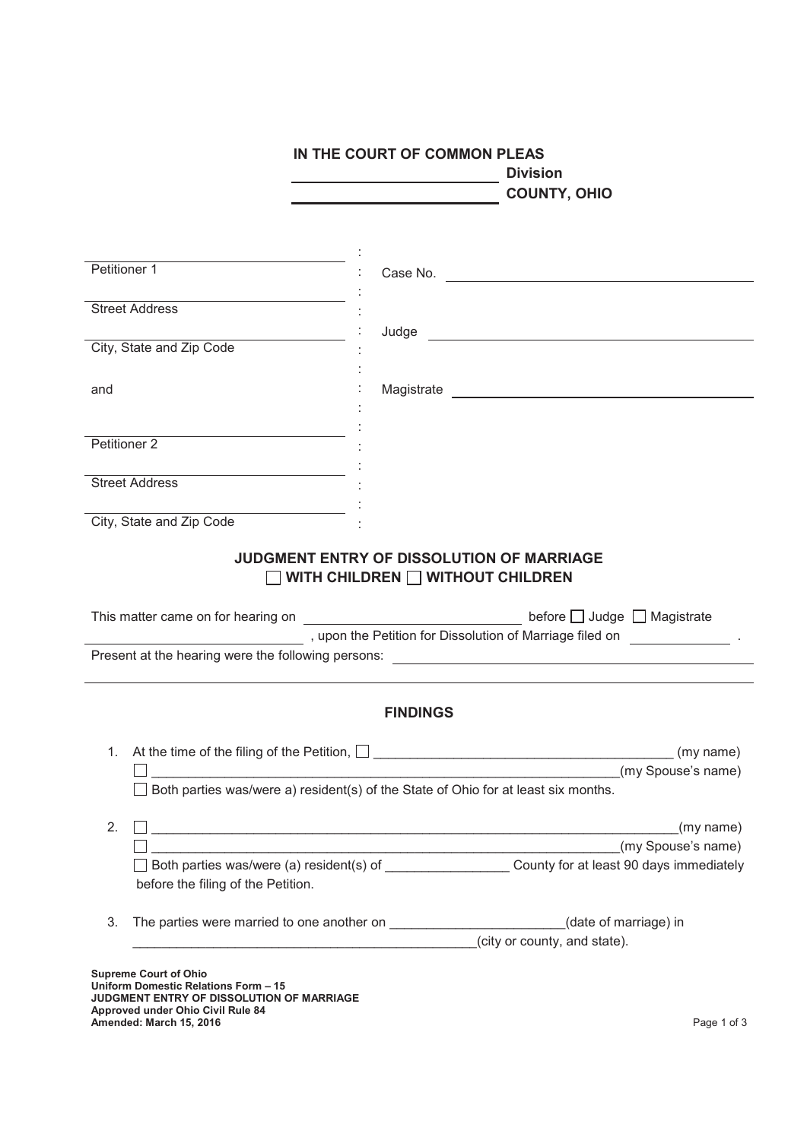## **IN THE COURT OF COMMON PLEAS Division**<br> **Division COUNTY, OHIO** : Petitioner 1 : Case No. : Street Address : Judge City, State and Zip Code : : and the contract of the magistrate of the Magistrate contract of the magistrate of the magistrate of the magistrate : : Petitioner 2 : Street Address : City, State and Zip Code : **JUDGMENT ENTRY OF DISSOLUTION OF MARRIAGE WITH CHILDREN WITHOUT CHILDREN** This matter came on for hearing on  $\Box$  Defore  $\Box$  Judge  $\Box$  Magistrate , upon the Petition for Dissolution of Marriage filed on . Present at the hearing were the following persons: **FINDINGS** 1. At the time of the filing of the Petition, \_\_\_\_\_\_\_\_\_\_\_\_\_\_\_\_\_\_\_\_\_\_\_\_\_\_\_\_\_\_\_\_\_\_\_\_\_\_\_\_\_ (my name)  $\Box$  $\Box$  Both parties was/were a) resident(s) of the State of Ohio for at least six months. 2.  $\Box$  (my name)  $\Box$ □ Both parties was/were (a) resident(s) of County for at least 90 days immediately before the filing of the Petition. 3. The parties were married to one another on \_\_\_\_\_\_\_\_\_\_\_\_\_\_\_\_\_\_\_\_\_\_\_\_\_\_(date of marriage) in  $(city or country, and state)$ . **Supreme Court of Ohio Uniform Domestic Relations Form – 15 JUDGMENT ENTRY OF DISSOLUTION OF MARRIAGE Approved under Ohio Civil Rule 84 Amended: March 15, 2016** Page 1 of 3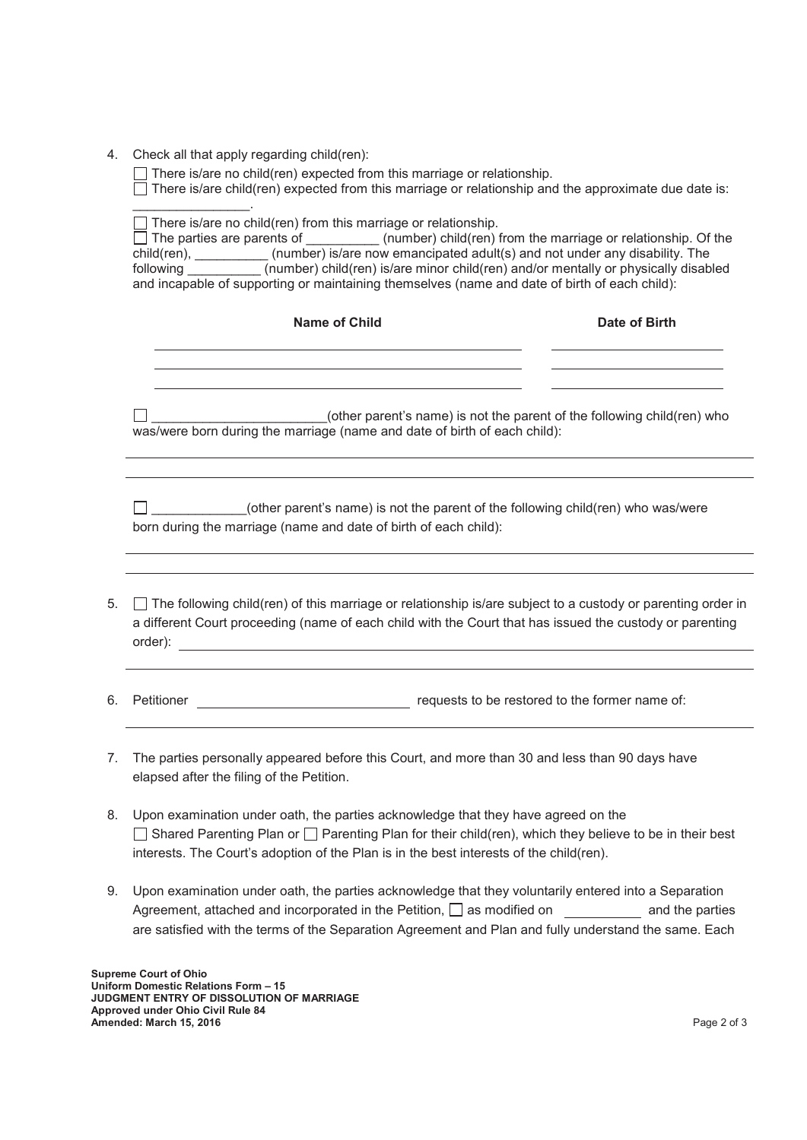4. Check all that apply regarding child(ren):

 $\Box$  There is/are no child(ren) expected from this marriage or relationship.

There is/are child(ren) expected from this marriage or relationship and the approximate due date is:

|    | There is/are no child(ren) from this marriage or relationship.<br>$\Box$ The parties are parents of ___________(number) child(ren) from the marriage or relationship. Of the<br>child(ren), ___________(number) is/are now emancipated adult(s) and not under any disability. The<br>following (number) child(ren) is/are minor child(ren) and/or mentally or physically disabled<br>and incapable of supporting or maintaining themselves (name and date of birth of each child): |               |  |
|----|------------------------------------------------------------------------------------------------------------------------------------------------------------------------------------------------------------------------------------------------------------------------------------------------------------------------------------------------------------------------------------------------------------------------------------------------------------------------------------|---------------|--|
|    | <b>Name of Child</b>                                                                                                                                                                                                                                                                                                                                                                                                                                                               | Date of Birth |  |
|    | (other parent's name) is not the parent of the following child(ren) who<br>was/were born during the marriage (name and date of birth of each child):                                                                                                                                                                                                                                                                                                                               |               |  |
|    | (other parent's name) is not the parent of the following child(ren) who was/were<br>born during the marriage (name and date of birth of each child):                                                                                                                                                                                                                                                                                                                               |               |  |
| 5. | $\Box$ The following child(ren) of this marriage or relationship is/are subject to a custody or parenting order in<br>a different Court proceeding (name of each child with the Court that has issued the custody or parenting                                                                                                                                                                                                                                                     |               |  |
| 6. | Petitioner <b>Detectioner</b> requests to be restored to the former name of:                                                                                                                                                                                                                                                                                                                                                                                                       |               |  |
| 7. | The parties personally appeared before this Court, and more than 30 and less than 90 days have<br>elapsed after the filing of the Petition.                                                                                                                                                                                                                                                                                                                                        |               |  |
| 8. | Upon examination under oath, the parties acknowledge that they have agreed on the<br>Shared Parenting Plan or $\Box$ Parenting Plan for their child(ren), which they believe to be in their best<br>interests. The Court's adoption of the Plan is in the best interests of the child(ren).                                                                                                                                                                                        |               |  |

9. Upon examination under oath, the parties acknowledge that they voluntarily entered into a Separation Agreement, attached and incorporated in the Petition,  $\Box$  as modified on and the parties are satisfied with the terms of the Separation Agreement and Plan and fully understand the same. Each